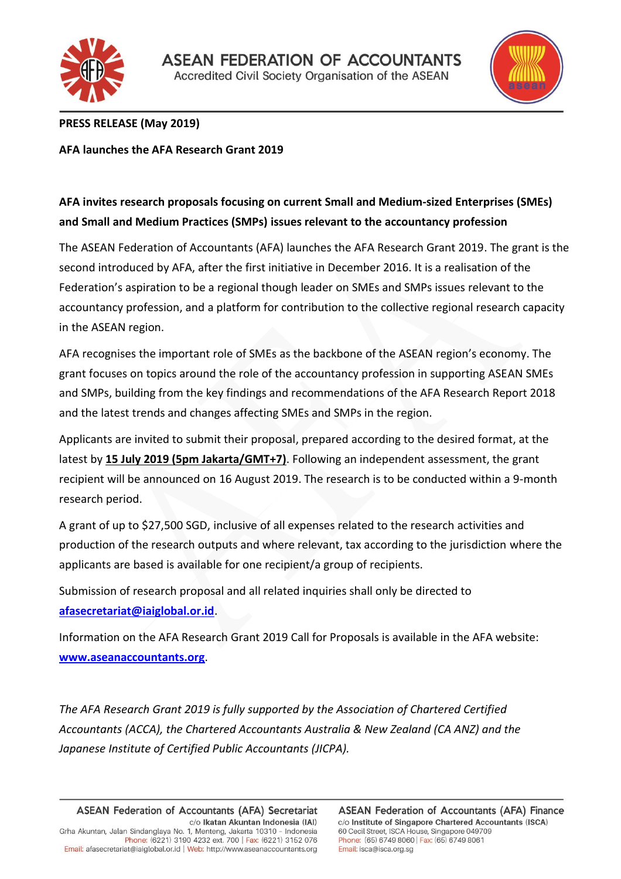



## **PRESS RELEASE (May 2019)**

**AFA launches the AFA Research Grant 2019**

# **AFA invites research proposals focusing on current Small and Medium-sized Enterprises (SMEs) and Small and Medium Practices (SMPs) issues relevant to the accountancy profession**

The ASEAN Federation of Accountants (AFA) launches the AFA Research Grant 2019. The grant is the second introduced by AFA, after the first initiative in December 2016. It is a realisation of the Federation's aspiration to be a regional though leader on SMEs and SMPs issues relevant to the accountancy profession, and a platform for contribution to the collective regional research capacity in the ASEAN region.

AFA recognises the important role of SMEs as the backbone of the ASEAN region's economy. The grant focuses on topics around the role of the accountancy profession in supporting ASEAN SMEs and SMPs, building from the key findings and recommendations of the AFA Research Report 2018 and the latest trends and changes affecting SMEs and SMPs in the region.

Applicants are invited to submit their proposal, prepared according to the desired format, at the latest by **15 July 2019 (5pm Jakarta/GMT+7)**. Following an independent assessment, the grant recipient will be announced on 16 August 2019. The research is to be conducted within a 9-month research period.

A grant of up to \$27,500 SGD, inclusive of all expenses related to the research activities and production of the research outputs and where relevant, tax according to the jurisdiction where the applicants are based is available for one recipient/a group of recipients.

Submission of research proposal and all related inquiries shall only be directed to **[afasecretariat@iaiglobal.or.id](mailto:afasecretariat@iaiglobal.or.id)**.

Information on the AFA Research Grant 2019 Call for Proposals is available in the AFA website: **[www.aseanaccountants.org](http://www.aseanaccountants.org/)**.

*The AFA Research Grant 2019 is fully supported by the Association of Chartered Certified Accountants (ACCA), the Chartered Accountants Australia & New Zealand (CA ANZ) and the Japanese Institute of Certified Public Accountants (JICPA).*